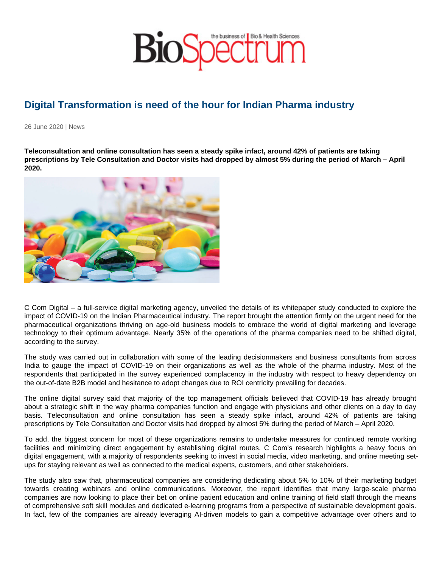## Digital Transformation is need of the hour for Indian Pharma industry

26 June 2020 | News

Teleconsultation and online consultation has seen a steady spike infact, around 42% of patients are taking prescriptions by Tele Consultation and Doctor visits had dropped by almost 5% during the period of March – April 2020.

C Com Digital – a full-service digital marketing agency, unveiled the details of its whitepaper study conducted to explore the impact of COVID-19 on the Indian Pharmaceutical industry. The report brought the attention firmly on the urgent need for the pharmaceutical organizations thriving on age-old business models to embrace the world of digital marketing and leverage technology to their optimum advantage. Nearly 35% of the operations of the pharma companies need to be shifted digital, according to the survey.

The study was carried out in collaboration with some of the leading decisionmakers and business consultants from across India to gauge the impact of COVID-19 on their organizations as well as the whole of the pharma industry. Most of the respondents that participated in the survey experienced complacency in the industry with respect to heavy dependency on the out-of-date B2B model and hesitance to adopt changes due to ROI centricity prevailing for decades.

The online digital survey said that majority of the top management officials believed that COVID-19 has already brought about a strategic shift in the way pharma companies function and engage with physicians and other clients on a day to day basis. Teleconsultation and online consultation has seen a steady spike infact, around 42% of patients are taking prescriptions by Tele Consultation and Doctor visits had dropped by almost 5% during the period of March – April 2020.

To add, the biggest concern for most of these organizations remains to undertake measures for continued remote working facilities and minimizing direct engagement by establishing digital routes. C Com's research highlights a heavy focus on digital engagement, with a majority of respondents seeking to invest in social media, video marketing, and online meeting setups for staying relevant as well as connected to the medical experts, customers, and other stakeholders.

The study also saw that, pharmaceutical companies are considering dedicating about 5% to 10% of their marketing budget towards creating webinars and online communications. Moreover, the report identifies that many large-scale pharma companies are now looking to place their bet on online patient education and online training of field staff through the means of comprehensive soft skill modules and dedicated e-learning programs from a perspective of sustainable development goals. In fact, few of the companies are already leveraging AI-driven models to gain a competitive advantage over others and to